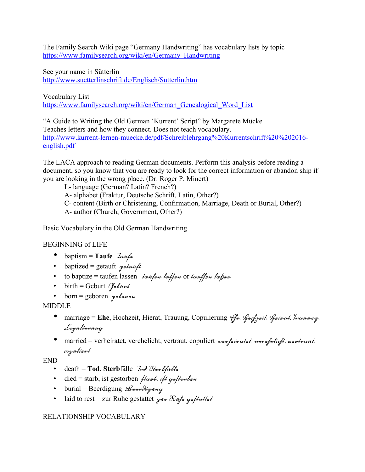The Family Search Wiki page "Germany Handwriting" has vocabulary lists by topic https://www.familysearch.org/wiki/en/Germany\_Handwriting

See your name in Sütterlin http://www.suetterlinschrift.de/Englisch/Sutterlin.htm

Vocabulary List https://www.familysearch.org/wiki/en/German\_Genealogical\_Word\_List

"A Guide to Writing the Old German 'Kurrent' Script" by Margarete Mücke Teaches letters and how they connect. Does not teach vocabulary. http://www.kurrent-lernen-muecke.de/pdf/Schreiblehrgang%20Kurrentschrift%20%202016 english.pdf

The LACA approach to reading German documents. Perform this analysis before reading a document, so you know that you are ready to look for the correct information or abandon ship if you are looking in the wrong place. (Dr. Roger P. Minert)

L- language (German? Latin? French?)

A- alphabet (Fraktur, Deutsche Schrift, Latin, Other?)

C- content (Birth or Christening, Confirmation, Marriage, Death or Burial, Other?)

A- author (Church, Government, Other?)

Basic Vocabulary in the Old German Handwriting

BEGINNING of LIFE

- baptism = **Taufe** Taufe
- baptized = getauft  $g$ ntont
- to baptize = taufen lassen tout to toffun or tout fun to fun
- birth = Geburt  $Q_{\text{nbiml}}$
- born = geboren  $g$ nbornn

MIDDLE

- · marriage = Ehe, Hochzeit, Hierat, Trauung, Copulierung *Gu, Gosfzuit, Guinot, Inonnug*, Logülinnüng
- married = verheiratet, verehelicht, vertraut, copuliert was paradat, was aliept, was trout, royülinut

END

- death = **Tod**, **Sterb**fälle Tod, Sterbfälle
- died = starb, ist gestorben  $\mu$ omb, i $\mu$  gu/tombun
- burial = Beerdigung  $\mathcal{L}_{\text{max}}$
- laid to rest = zur Ruhe gestattet  $\gamma$ une Ruhe gestattet

## RELATIONSHIP VOCABULARY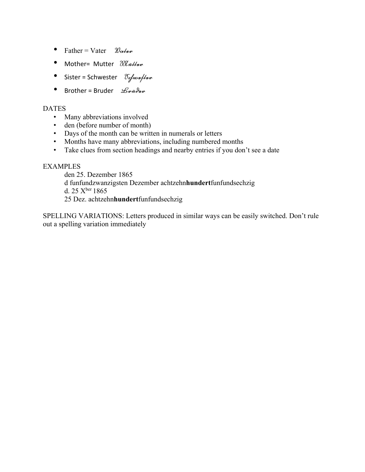- Father = Vater  $\mathcal{W}_{\alpha}$
- Mother= Mutter *Muthur*
- Sister = Schwester  $\delta$ ifnonflux
- Brother = Bruder  $\mathcal{L}_{\mu\nu}$

## **DATES**

- Many abbreviations involved
- den (before number of month)
- Days of the month can be written in numerals or letters
- Months have many abbreviations, including numbered months
- Take clues from section headings and nearby entries if you don't see a date

## EXAMPLES

den 25. Dezember 1865 d funfundzwanzigsten Dezember achtzehn**hundert**funfundsechzig d. 25  $X<sup>ber</sup> 1865$ 25 Dez. achtzehn**hundert**funfundsechzig

SPELLING VARIATIONS: Letters produced in similar ways can be easily switched. Don't rule out a spelling variation immediately